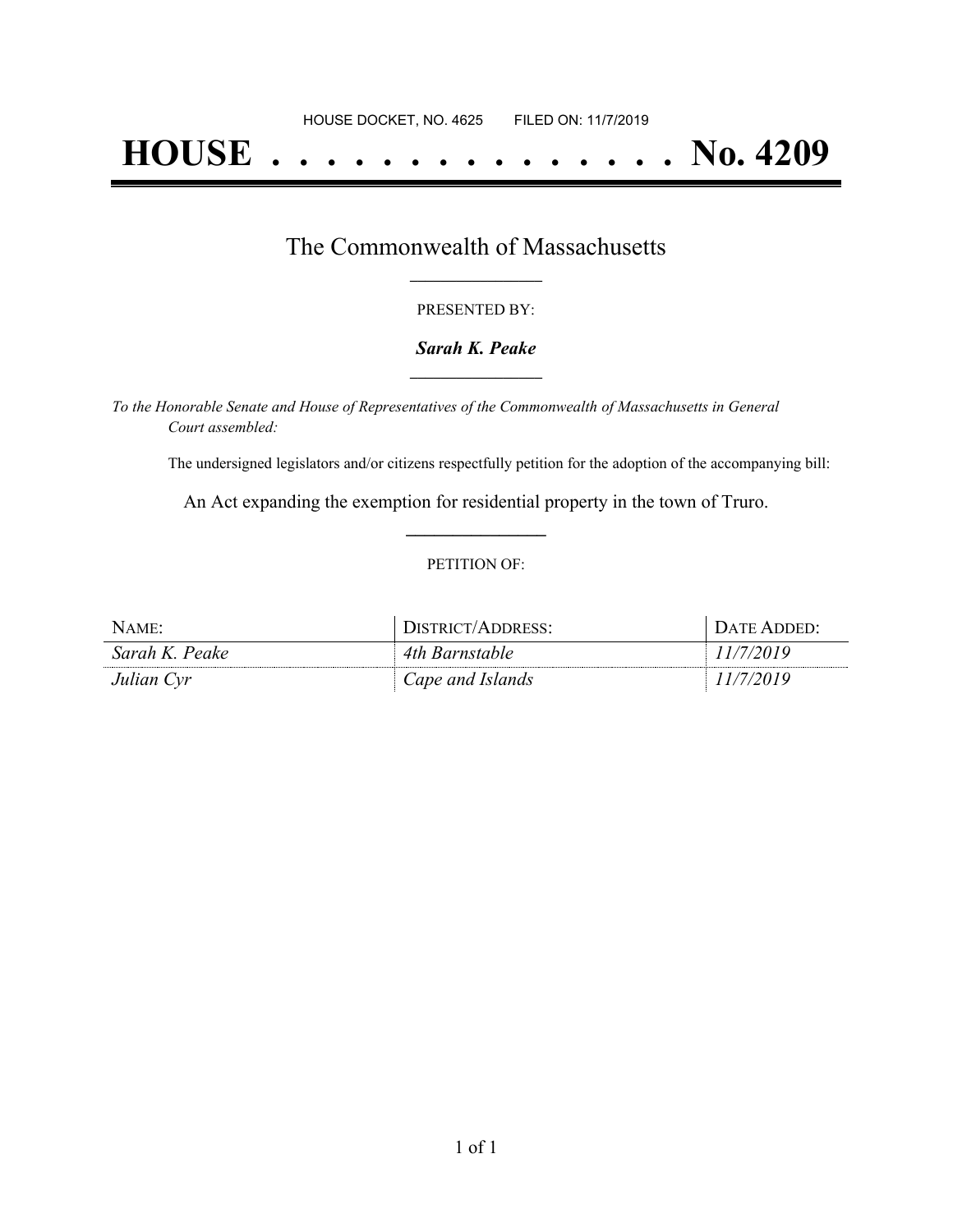# **HOUSE . . . . . . . . . . . . . . . No. 4209**

### The Commonwealth of Massachusetts **\_\_\_\_\_\_\_\_\_\_\_\_\_\_\_\_\_**

#### PRESENTED BY:

#### *Sarah K. Peake* **\_\_\_\_\_\_\_\_\_\_\_\_\_\_\_\_\_**

*To the Honorable Senate and House of Representatives of the Commonwealth of Massachusetts in General Court assembled:*

The undersigned legislators and/or citizens respectfully petition for the adoption of the accompanying bill:

An Act expanding the exemption for residential property in the town of Truro. **\_\_\_\_\_\_\_\_\_\_\_\_\_\_\_**

#### PETITION OF:

| $N$ AME:       | DISTRICT/ADDRESS: | + DATE ADDED: |
|----------------|-------------------|---------------|
| Sarah K. Peake | 4th Barnstable    | 1/7/2019      |
| Julian Cyr     | Cape and Islands  |               |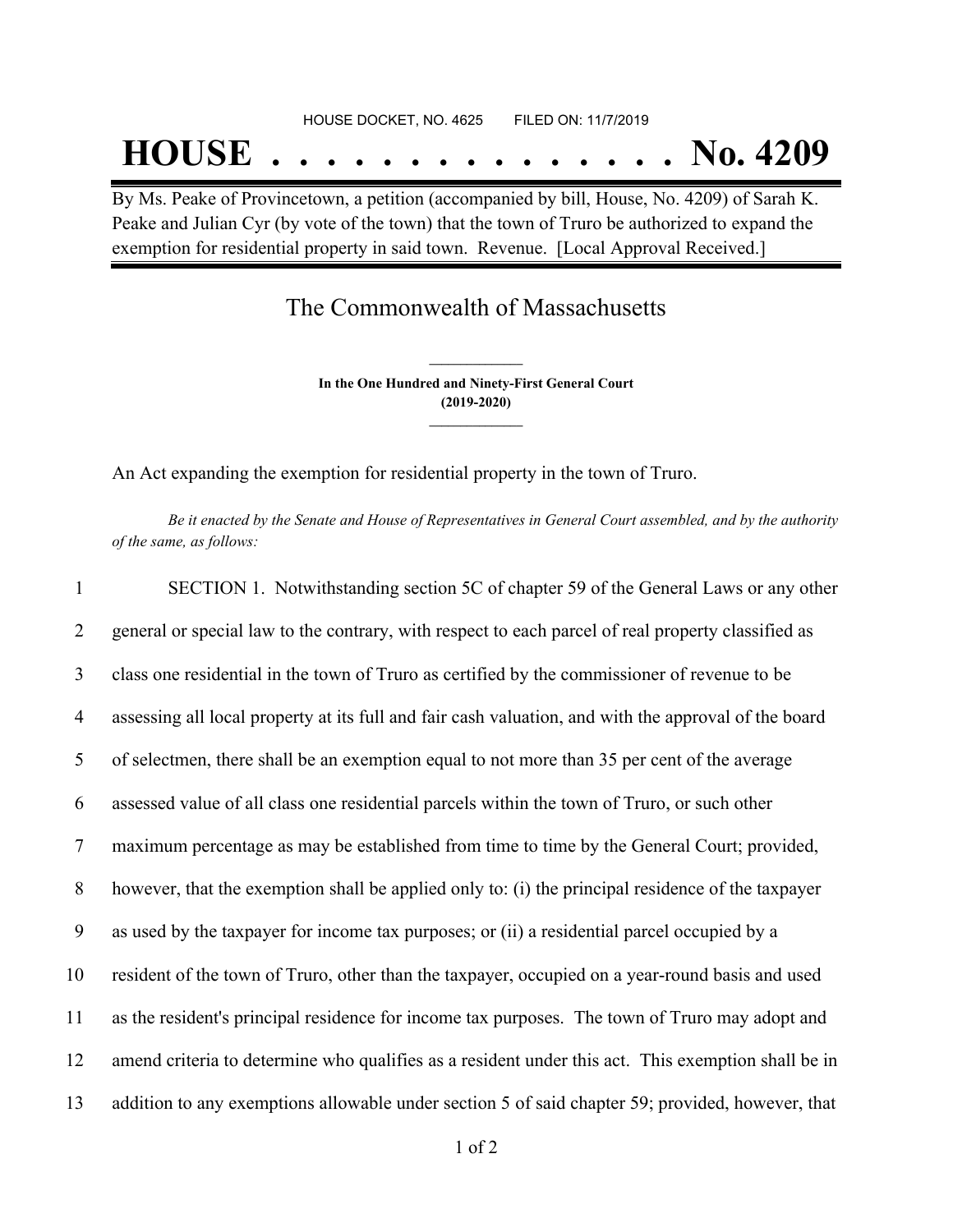## **HOUSE . . . . . . . . . . . . . . . No. 4209**

By Ms. Peake of Provincetown, a petition (accompanied by bill, House, No. 4209) of Sarah K. Peake and Julian Cyr (by vote of the town) that the town of Truro be authorized to expand the exemption for residential property in said town. Revenue. [Local Approval Received.]

## The Commonwealth of Massachusetts

**In the One Hundred and Ninety-First General Court (2019-2020) \_\_\_\_\_\_\_\_\_\_\_\_\_\_\_**

**\_\_\_\_\_\_\_\_\_\_\_\_\_\_\_**

An Act expanding the exemption for residential property in the town of Truro.

Be it enacted by the Senate and House of Representatives in General Court assembled, and by the authority *of the same, as follows:*

| $\mathbf{1}$   | SECTION 1. Notwithstanding section 5C of chapter 59 of the General Laws or any other                 |
|----------------|------------------------------------------------------------------------------------------------------|
| 2              | general or special law to the contrary, with respect to each parcel of real property classified as   |
| 3              | class one residential in the town of Truro as certified by the commissioner of revenue to be         |
| $\overline{4}$ | assessing all local property at its full and fair cash valuation, and with the approval of the board |
| 5              | of selectmen, there shall be an exemption equal to not more than 35 per cent of the average          |
| 6              | assessed value of all class one residential parcels within the town of Truro, or such other          |
| $\overline{7}$ | maximum percentage as may be established from time to time by the General Court; provided,           |
| 8              | however, that the exemption shall be applied only to: (i) the principal residence of the taxpayer    |
| 9              | as used by the taxpayer for income tax purposes; or (ii) a residential parcel occupied by a          |
| 10             | resident of the town of Truro, other than the taxpayer, occupied on a year-round basis and used      |
| 11             | as the resident's principal residence for income tax purposes. The town of Truro may adopt and       |
| 12             | amend criteria to determine who qualifies as a resident under this act. This exemption shall be in   |
| 13             | addition to any exemptions allowable under section 5 of said chapter 59; provided, however, that     |